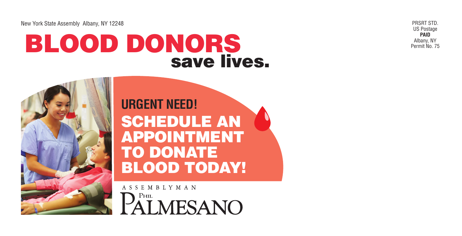New York State Assembly Albany, NY 12248

# BLOOD DONORS save lives.

Permit No. 75

PRSRT STD. US Postage **PAID** Albany, NY



**URGENT NEED! SCHEDULE AN** APPOINTMENT TO DONATE BLOOD TODAY!

ASSEMBLYMAN ALMESANO